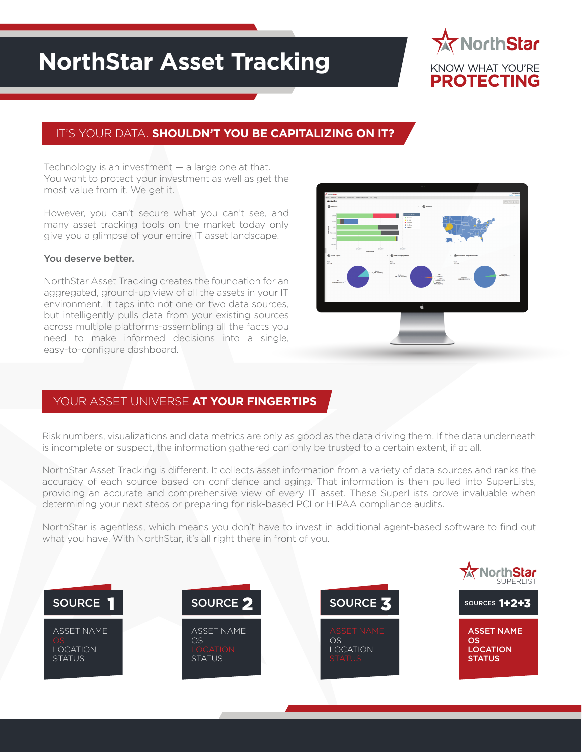# **NorthStar Asset Tracking**



### IT'S YOUR DATA. **SHOULDN'T YOU BE CAPITALIZING ON IT?**

Technology is an investment  $-$  a large one at that. You want to protect your investment as well as get the most value from it. We get it.

However, you can't secure what you can't see, and many asset tracking tools on the market today only give you a glimpse of your entire IT asset landscape.

#### You deserve better.

NorthStar Asset Tracking creates the foundation for an aggregated, ground-up view of all the assets in your IT environment. It taps into not one or two data sources, but intelligently pulls data from your existing sources across multiple platforms-assembling all the facts you need to make informed decisions into a single, easy-to-configure dashboard.



#### YOUR ASSET UNIVERSE **AT YOUR FINGERTIPS**

Risk numbers, visualizations and data metrics are only as good as the data driving them. If the data underneath is incomplete or suspect, the information gathered can only be trusted to a certain extent, if at all.

NorthStar Asset Tracking is different. It collects asset information from a variety of data sources and ranks the accuracy of each source based on confidence and aging. That information is then pulled into SuperLists, providing an accurate and comprehensive view of every IT asset. These SuperLists prove invaluable when determining your next steps or preparing for risk-based PCI or HIPAA compliance audits.

NorthStar is agentless, which means you don't have to invest in additional agent-based software to find out what you have. With NorthStar, it's all right there in front of you.